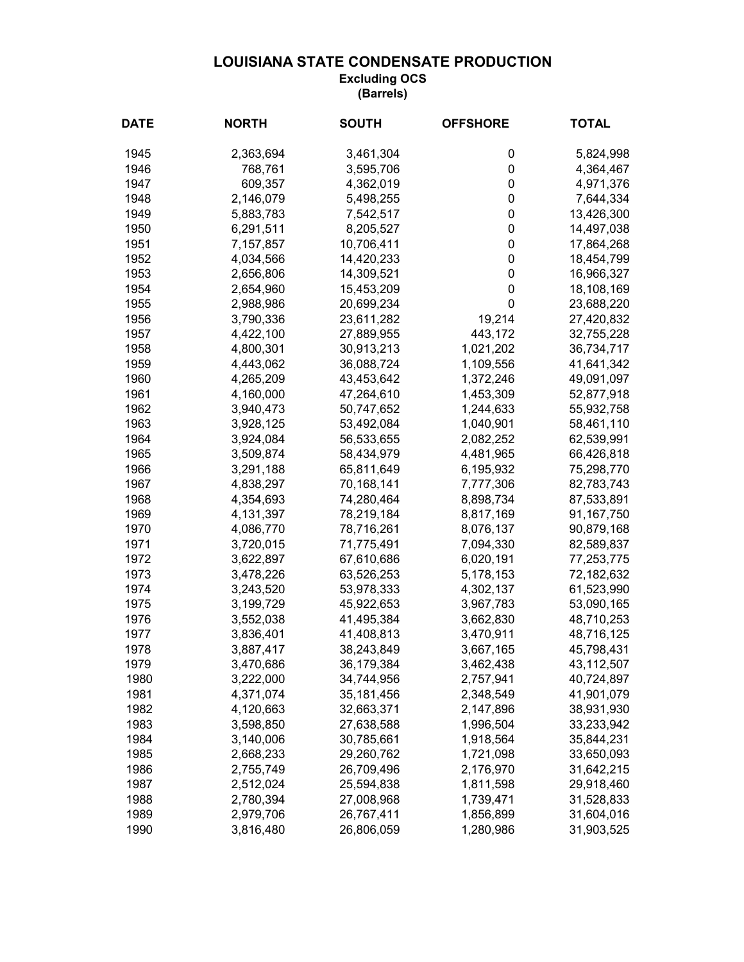## **LOUISIANA STATE CONDENSATE PRODUCTION**

**Excluding OCS**

**(Barrels)**

| <b>DATE</b> | <b>NORTH</b> | <b>SOUTH</b> | <b>OFFSHORE</b> | <b>TOTAL</b> |
|-------------|--------------|--------------|-----------------|--------------|
| 1945        | 2,363,694    | 3,461,304    | 0               | 5,824,998    |
| 1946        | 768,761      | 3,595,706    | 0               | 4,364,467    |
| 1947        | 609,357      | 4,362,019    | 0               | 4,971,376    |
| 1948        | 2,146,079    | 5,498,255    | 0               | 7,644,334    |
| 1949        | 5,883,783    | 7,542,517    | 0               | 13,426,300   |
| 1950        | 6,291,511    | 8,205,527    | 0               | 14,497,038   |
| 1951        | 7, 157, 857  | 10,706,411   | 0               | 17,864,268   |
| 1952        | 4,034,566    | 14,420,233   | 0               | 18,454,799   |
| 1953        | 2,656,806    | 14,309,521   | 0               | 16,966,327   |
| 1954        | 2,654,960    | 15,453,209   | 0               | 18,108,169   |
| 1955        | 2,988,986    | 20,699,234   | $\mathbf 0$     | 23,688,220   |
| 1956        | 3,790,336    | 23,611,282   | 19,214          | 27,420,832   |
| 1957        | 4,422,100    | 27,889,955   | 443,172         | 32,755,228   |
| 1958        | 4,800,301    | 30,913,213   | 1,021,202       | 36,734,717   |
| 1959        | 4,443,062    | 36,088,724   | 1,109,556       | 41,641,342   |
| 1960        | 4,265,209    | 43,453,642   | 1,372,246       | 49,091,097   |
| 1961        | 4,160,000    | 47,264,610   | 1,453,309       | 52,877,918   |
| 1962        | 3,940,473    | 50,747,652   | 1,244,633       | 55,932,758   |
| 1963        | 3,928,125    | 53,492,084   | 1,040,901       | 58,461,110   |
| 1964        | 3,924,084    | 56,533,655   | 2,082,252       | 62,539,991   |
| 1965        | 3,509,874    | 58,434,979   | 4,481,965       | 66,426,818   |
| 1966        | 3,291,188    | 65,811,649   | 6,195,932       | 75,298,770   |
| 1967        | 4,838,297    | 70,168,141   | 7,777,306       | 82,783,743   |
| 1968        | 4,354,693    | 74,280,464   | 8,898,734       | 87,533,891   |
| 1969        | 4,131,397    | 78,219,184   | 8,817,169       | 91,167,750   |
| 1970        | 4,086,770    | 78,716,261   | 8,076,137       | 90,879,168   |
| 1971        | 3,720,015    | 71,775,491   | 7,094,330       | 82,589,837   |
| 1972        | 3,622,897    | 67,610,686   | 6,020,191       | 77,253,775   |
| 1973        | 3,478,226    | 63,526,253   | 5,178,153       | 72,182,632   |
| 1974        | 3,243,520    | 53,978,333   | 4,302,137       | 61,523,990   |
| 1975        | 3,199,729    | 45,922,653   | 3,967,783       | 53,090,165   |
| 1976        | 3,552,038    | 41,495,384   | 3,662,830       | 48,710,253   |
| 1977        | 3,836,401    | 41,408,813   | 3,470,911       | 48,716,125   |
| 1978        | 3,887,417    | 38,243,849   | 3,667,165       | 45,798,431   |
| 1979        | 3,470,686    | 36,179,384   | 3,462,438       | 43,112,507   |
| 1980        | 3,222,000    | 34,744,956   | 2,757,941       | 40,724,897   |
| 1981        | 4,371,074    | 35,181,456   | 2,348,549       | 41,901,079   |
| 1982        | 4,120,663    | 32,663,371   | 2,147,896       | 38,931,930   |
| 1983        | 3,598,850    | 27,638,588   | 1,996,504       | 33,233,942   |
| 1984        | 3,140,006    | 30,785,661   | 1,918,564       | 35,844,231   |
| 1985        | 2,668,233    | 29,260,762   | 1,721,098       | 33,650,093   |
| 1986        | 2,755,749    | 26,709,496   | 2,176,970       | 31,642,215   |
| 1987        | 2,512,024    | 25,594,838   | 1,811,598       | 29,918,460   |
| 1988        | 2,780,394    | 27,008,968   | 1,739,471       | 31,528,833   |
| 1989        | 2,979,706    | 26,767,411   | 1,856,899       | 31,604,016   |
| 1990        | 3,816,480    | 26,806,059   | 1,280,986       | 31,903,525   |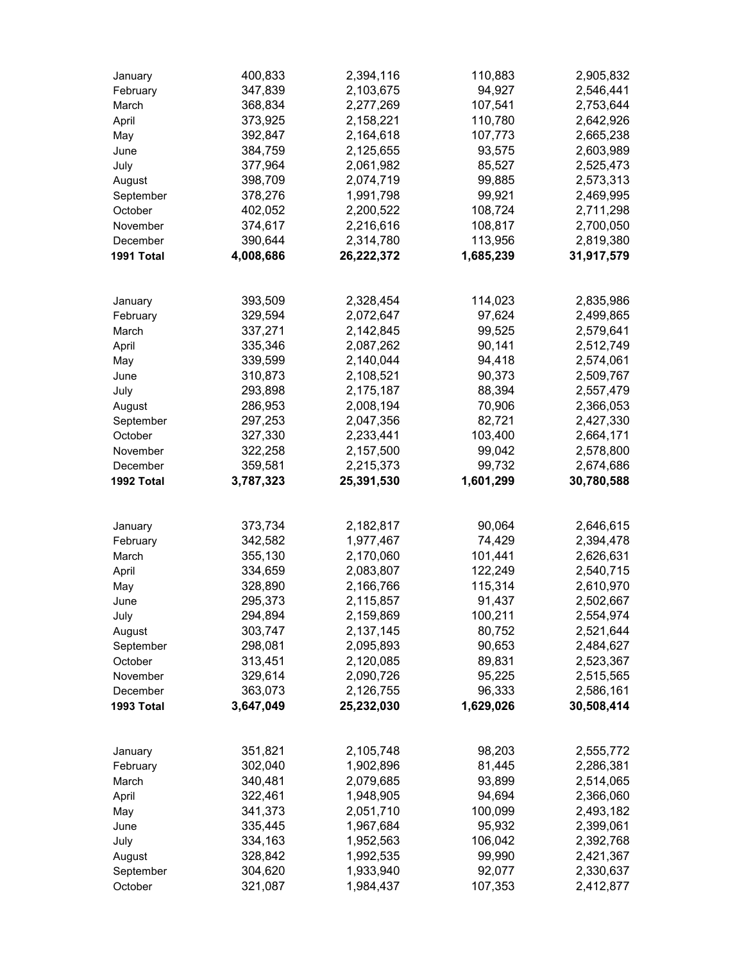| January    | 400,833   | 2,394,116  | 110,883   | 2,905,832  |
|------------|-----------|------------|-----------|------------|
| February   | 347,839   | 2,103,675  | 94,927    | 2,546,441  |
| March      | 368,834   | 2,277,269  | 107,541   | 2,753,644  |
| April      | 373,925   | 2,158,221  | 110,780   | 2,642,926  |
| May        | 392,847   | 2,164,618  | 107,773   | 2,665,238  |
| June       | 384,759   | 2,125,655  | 93,575    | 2,603,989  |
| July       | 377,964   | 2,061,982  | 85,527    | 2,525,473  |
| August     | 398,709   | 2,074,719  | 99,885    | 2,573,313  |
| September  | 378,276   | 1,991,798  | 99,921    | 2,469,995  |
| October    | 402,052   | 2,200,522  | 108,724   | 2,711,298  |
| November   | 374,617   | 2,216,616  | 108,817   | 2,700,050  |
| December   | 390,644   | 2,314,780  | 113,956   | 2,819,380  |
| 1991 Total | 4,008,686 | 26,222,372 | 1,685,239 | 31,917,579 |
|            |           |            |           |            |
| January    | 393,509   | 2,328,454  | 114,023   | 2,835,986  |
| February   | 329,594   | 2,072,647  | 97,624    | 2,499,865  |
| March      | 337,271   | 2,142,845  | 99,525    | 2,579,641  |
| April      | 335,346   | 2,087,262  | 90,141    | 2,512,749  |
| May        | 339,599   | 2,140,044  | 94,418    | 2,574,061  |
| June       | 310,873   | 2,108,521  | 90,373    | 2,509,767  |
| July       | 293,898   | 2,175,187  | 88,394    | 2,557,479  |
| August     | 286,953   | 2,008,194  | 70,906    | 2,366,053  |
| September  | 297,253   | 2,047,356  | 82,721    | 2,427,330  |
| October    | 327,330   | 2,233,441  | 103,400   | 2,664,171  |
| November   | 322,258   | 2,157,500  | 99,042    | 2,578,800  |
| December   | 359,581   | 2,215,373  | 99,732    | 2,674,686  |
| 1992 Total | 3,787,323 | 25,391,530 | 1,601,299 | 30,780,588 |
|            |           |            |           |            |
| January    | 373,734   | 2,182,817  | 90,064    | 2,646,615  |
| February   | 342,582   | 1,977,467  | 74,429    | 2,394,478  |
| March      | 355,130   | 2,170,060  | 101,441   | 2,626,631  |
| April      | 334,659   | 2,083,807  | 122,249   | 2,540,715  |
| May        | 328,890   | 2,166,766  | 115,314   | 2,610,970  |
| June       | 295,373   | 2,115,857  | 91,437    | 2,502,667  |
| July       | 294,894   | 2,159,869  | 100,211   | 2,554,974  |
| August     | 303,747   | 2,137,145  | 80,752    | 2,521,644  |
| September  | 298,081   | 2,095,893  | 90,653    | 2,484,627  |
| October    | 313,451   | 2,120,085  | 89,831    | 2,523,367  |
| November   | 329,614   | 2,090,726  | 95,225    | 2,515,565  |
| December   | 363,073   | 2,126,755  | 96,333    | 2,586,161  |
| 1993 Total | 3,647,049 | 25,232,030 | 1,629,026 | 30,508,414 |
|            |           |            |           |            |
| January    | 351,821   | 2,105,748  | 98,203    | 2,555,772  |
| February   | 302,040   | 1,902,896  | 81,445    | 2,286,381  |
| March      | 340,481   | 2,079,685  | 93,899    | 2,514,065  |
| April      | 322,461   | 1,948,905  | 94,694    | 2,366,060  |
| May        | 341,373   | 2,051,710  | 100,099   | 2,493,182  |
| June       | 335,445   | 1,967,684  | 95,932    | 2,399,061  |
| July       | 334,163   | 1,952,563  | 106,042   | 2,392,768  |
| August     | 328,842   | 1,992,535  | 99,990    | 2,421,367  |
| September  | 304,620   | 1,933,940  | 92,077    | 2,330,637  |
| October    | 321,087   | 1,984,437  | 107,353   | 2,412,877  |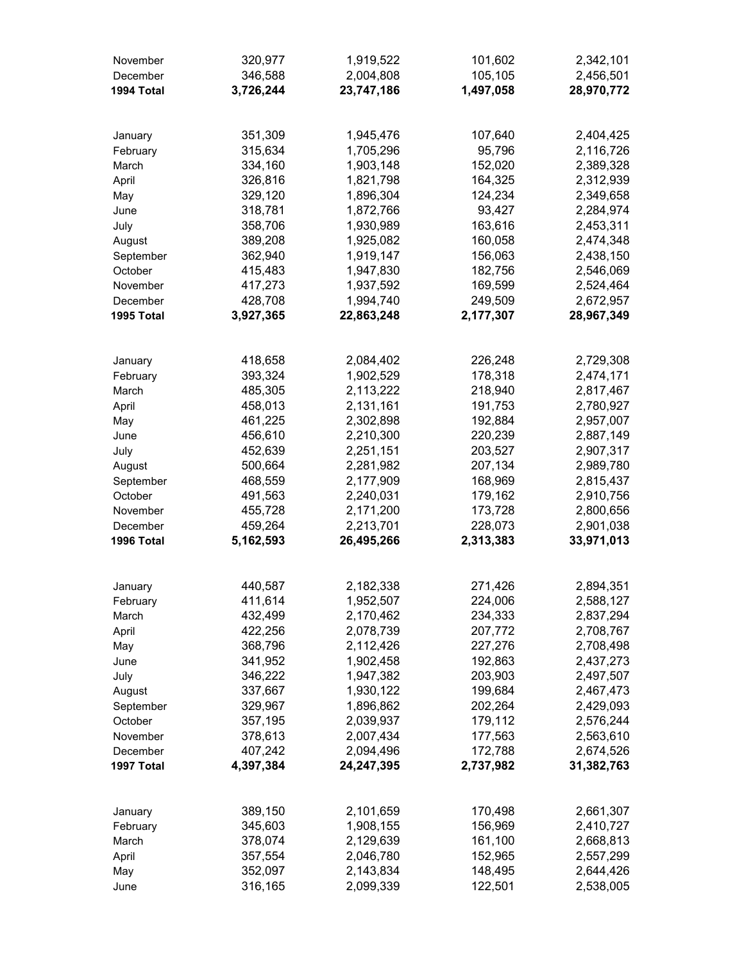| November   | 320,977   | 1,919,522  | 101,602   | 2,342,101  |
|------------|-----------|------------|-----------|------------|
| December   | 346,588   | 2,004,808  | 105,105   | 2,456,501  |
| 1994 Total | 3,726,244 | 23,747,186 | 1,497,058 | 28,970,772 |
|            |           |            |           |            |
| January    | 351,309   | 1,945,476  | 107,640   | 2,404,425  |
| February   | 315,634   | 1,705,296  | 95,796    | 2,116,726  |
| March      | 334,160   | 1,903,148  | 152,020   | 2,389,328  |
| April      | 326,816   | 1,821,798  | 164,325   | 2,312,939  |
| May        | 329,120   | 1,896,304  | 124,234   | 2,349,658  |
| June       | 318,781   | 1,872,766  | 93,427    | 2,284,974  |
| July       | 358,706   | 1,930,989  | 163,616   | 2,453,311  |
| August     | 389,208   | 1,925,082  | 160,058   | 2,474,348  |
| September  | 362,940   | 1,919,147  | 156,063   | 2,438,150  |
| October    | 415,483   | 1,947,830  | 182,756   | 2,546,069  |
| November   | 417,273   | 1,937,592  | 169,599   | 2,524,464  |
| December   | 428,708   | 1,994,740  | 249,509   | 2,672,957  |
| 1995 Total | 3,927,365 | 22,863,248 | 2,177,307 | 28,967,349 |
|            |           |            |           |            |
| January    | 418,658   | 2,084,402  | 226,248   | 2,729,308  |
| February   | 393,324   | 1,902,529  | 178,318   | 2,474,171  |
| March      | 485,305   | 2,113,222  | 218,940   | 2,817,467  |
| April      | 458,013   | 2,131,161  | 191,753   | 2,780,927  |
| May        | 461,225   | 2,302,898  | 192,884   | 2,957,007  |
| June       | 456,610   | 2,210,300  | 220,239   | 2,887,149  |
| July       | 452,639   | 2,251,151  | 203,527   | 2,907,317  |
| August     | 500,664   | 2,281,982  | 207,134   | 2,989,780  |
| September  | 468,559   | 2,177,909  | 168,969   | 2,815,437  |
| October    | 491,563   | 2,240,031  | 179,162   | 2,910,756  |
| November   | 455,728   | 2,171,200  | 173,728   | 2,800,656  |
| December   | 459,264   | 2,213,701  | 228,073   | 2,901,038  |
| 1996 Total | 5,162,593 | 26,495,266 | 2,313,383 | 33,971,013 |
|            |           |            |           |            |
| January    | 440,587   | 2,182,338  | 271,426   | 2,894,351  |
| February   | 411,614   | 1,952,507  | 224,006   | 2,588,127  |
| March      | 432,499   | 2,170,462  | 234,333   | 2,837,294  |
| April      | 422,256   | 2,078,739  | 207,772   | 2,708,767  |
| May        | 368,796   | 2,112,426  | 227,276   | 2,708,498  |
| June       | 341,952   | 1,902,458  | 192,863   | 2,437,273  |
| July       | 346,222   | 1,947,382  | 203,903   | 2,497,507  |
| August     | 337,667   | 1,930,122  | 199,684   | 2,467,473  |
| September  | 329,967   | 1,896,862  | 202,264   | 2,429,093  |
| October    | 357,195   | 2,039,937  | 179,112   | 2,576,244  |
| November   | 378,613   | 2,007,434  | 177,563   | 2,563,610  |
| December   | 407,242   | 2,094,496  | 172,788   | 2,674,526  |
| 1997 Total | 4,397,384 | 24,247,395 | 2,737,982 | 31,382,763 |
|            |           |            |           |            |
| January    | 389,150   | 2,101,659  | 170,498   | 2,661,307  |
| February   | 345,603   | 1,908,155  | 156,969   | 2,410,727  |
| March      | 378,074   | 2,129,639  | 161,100   | 2,668,813  |
| April      | 357,554   | 2,046,780  | 152,965   | 2,557,299  |
| May        | 352,097   | 2,143,834  | 148,495   | 2,644,426  |
| June       | 316,165   | 2,099,339  | 122,501   | 2,538,005  |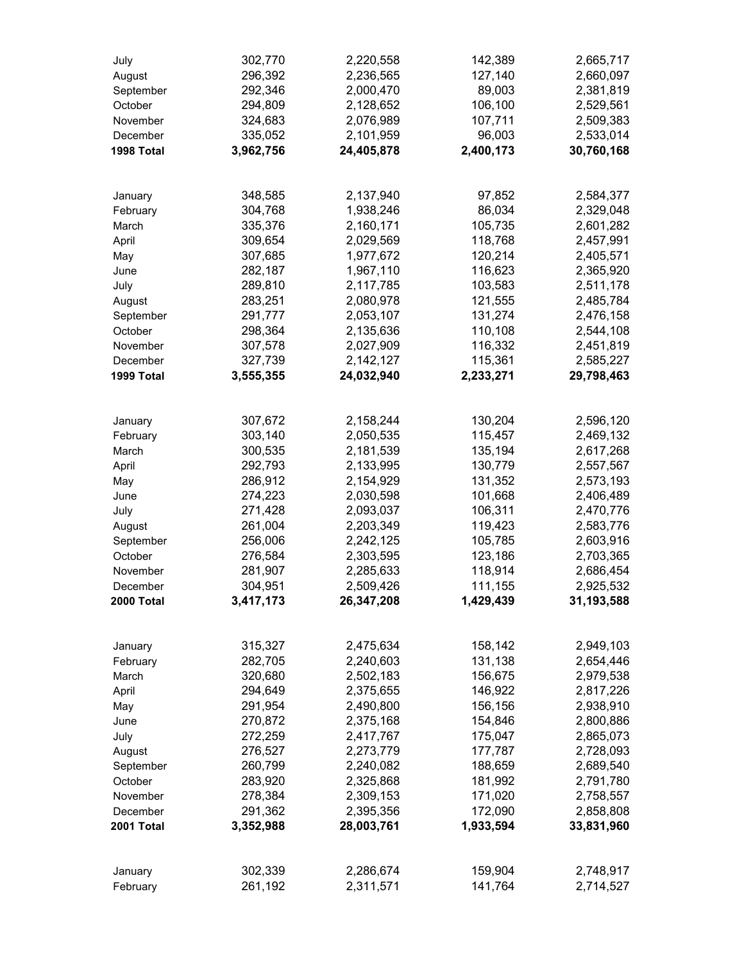| July                 | 302,770            | 2,220,558              | 142,389            | 2,665,717              |
|----------------------|--------------------|------------------------|--------------------|------------------------|
| August               | 296,392            | 2,236,565              | 127,140            | 2,660,097              |
| September            | 292,346            | 2,000,470              | 89,003             | 2,381,819              |
| October              | 294,809            | 2,128,652              | 106,100            | 2,529,561              |
| November             | 324,683            | 2,076,989              | 107,711            | 2,509,383              |
| December             | 335,052            | 2,101,959              | 96,003             | 2,533,014              |
| 1998 Total           | 3,962,756          | 24,405,878             | 2,400,173          | 30,760,168             |
|                      |                    |                        |                    |                        |
| January              | 348,585            | 2,137,940              | 97,852             | 2,584,377              |
| February             | 304,768            | 1,938,246              | 86,034             | 2,329,048              |
| March                | 335,376            | 2,160,171              | 105,735            | 2,601,282              |
|                      | 309,654            | 2,029,569              | 118,768            | 2,457,991              |
| April                | 307,685            | 1,977,672              | 120,214            | 2,405,571              |
| May<br>June          | 282,187            | 1,967,110              | 116,623            | 2,365,920              |
|                      |                    | 2,117,785              | 103,583            |                        |
| July                 | 289,810            |                        |                    | 2,511,178              |
| August               | 283,251            | 2,080,978              | 121,555            | 2,485,784              |
| September            | 291,777            | 2,053,107              | 131,274            | 2,476,158              |
| October              | 298,364            | 2,135,636              | 110,108            | 2,544,108              |
| November             | 307,578            | 2,027,909              | 116,332            | 2,451,819              |
| December             | 327,739            | 2,142,127              | 115,361            | 2,585,227              |
| 1999 Total           | 3,555,355          | 24,032,940             | 2,233,271          | 29,798,463             |
|                      | 307,672            | 2,158,244              | 130,204            | 2,596,120              |
| January              |                    |                        |                    |                        |
| February             | 303,140            | 2,050,535              | 115,457            | 2,469,132              |
| March                | 300,535            | 2,181,539              | 135,194            | 2,617,268              |
| April                | 292,793<br>286,912 | 2,133,995<br>2,154,929 | 130,779<br>131,352 | 2,557,567              |
| May                  | 274,223            | 2,030,598              | 101,668            | 2,573,193              |
| June                 | 271,428            | 2,093,037              | 106,311            | 2,406,489              |
| July                 | 261,004            | 2,203,349              | 119,423            | 2,470,776<br>2,583,776 |
| August               | 256,006            | 2,242,125              | 105,785            | 2,603,916              |
| September<br>October | 276,584            | 2,303,595              | 123,186            | 2,703,365              |
| November             | 281,907            | 2,285,633              | 118,914            | 2,686,454              |
| December             | 304,951            | 2,509,426              | 111,155            | 2,925,532              |
| 2000 Total           | 3,417,173          | 26,347,208             | 1,429,439          | 31,193,588             |
|                      |                    |                        |                    |                        |
| January              | 315,327            | 2,475,634              | 158,142            | 2,949,103              |
| February             | 282,705            | 2,240,603              | 131,138            | 2,654,446              |
| March                | 320,680            | 2,502,183              | 156,675            | 2,979,538              |
| April                | 294,649            | 2,375,655              | 146,922            | 2,817,226              |
| May                  | 291,954            | 2,490,800              | 156,156            | 2,938,910              |
| June                 | 270,872            | 2,375,168              | 154,846            | 2,800,886              |
| July                 | 272,259            | 2,417,767              | 175,047            | 2,865,073              |
| August               | 276,527            | 2,273,779              | 177,787            | 2,728,093              |
| September            | 260,799            | 2,240,082              | 188,659            | 2,689,540              |
| October              | 283,920            | 2,325,868              | 181,992            | 2,791,780              |
| November             | 278,384            | 2,309,153              | 171,020            | 2,758,557              |
| December             | 291,362            | 2,395,356              | 172,090            | 2,858,808              |
| 2001 Total           | 3,352,988          | 28,003,761             | 1,933,594          | 33,831,960             |
|                      |                    |                        |                    |                        |
| January              | 302,339            | 2,286,674              | 159,904            | 2,748,917              |
| February             | 261,192            | 2,311,571              | 141,764            | 2,714,527              |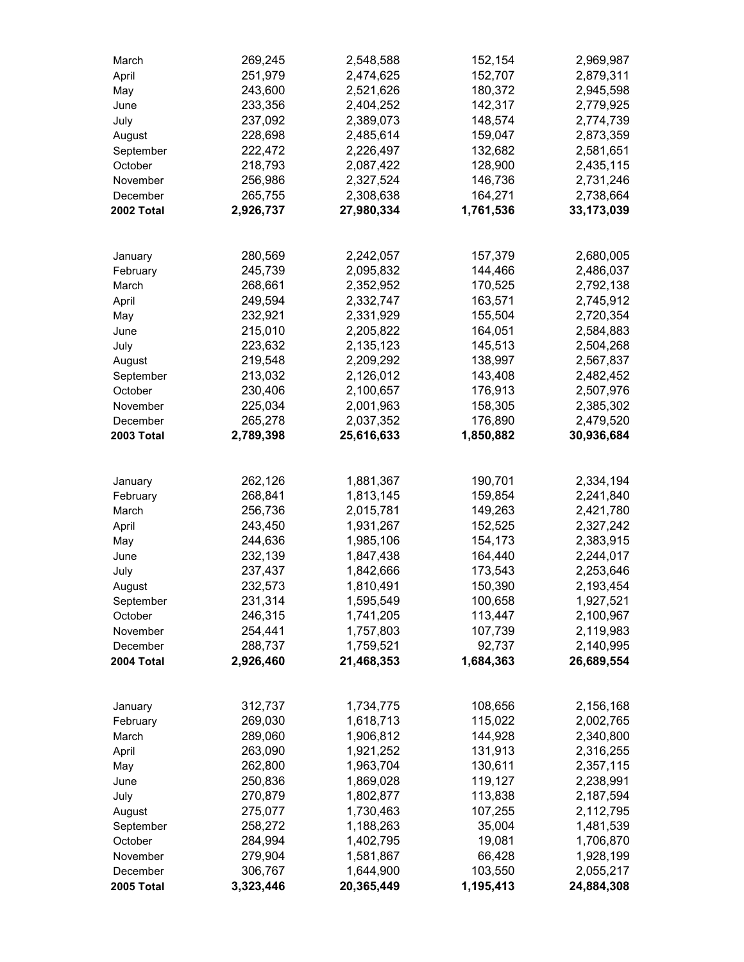| March      | 269,245   | 2,548,588  | 152,154   | 2,969,987  |
|------------|-----------|------------|-----------|------------|
| April      | 251,979   | 2,474,625  | 152,707   | 2,879,311  |
| May        | 243,600   | 2,521,626  | 180,372   | 2,945,598  |
| June       | 233,356   | 2,404,252  | 142,317   | 2,779,925  |
| July       | 237,092   | 2,389,073  | 148,574   | 2,774,739  |
| August     | 228,698   | 2,485,614  | 159,047   | 2,873,359  |
| September  | 222,472   | 2,226,497  | 132,682   | 2,581,651  |
| October    | 218,793   | 2,087,422  | 128,900   | 2,435,115  |
| November   | 256,986   | 2,327,524  | 146,736   | 2,731,246  |
| December   | 265,755   | 2,308,638  | 164,271   | 2,738,664  |
| 2002 Total | 2,926,737 | 27,980,334 | 1,761,536 | 33,173,039 |
|            |           |            |           |            |
| January    | 280,569   | 2,242,057  | 157,379   | 2,680,005  |
| February   | 245,739   | 2,095,832  | 144,466   | 2,486,037  |
| March      | 268,661   | 2,352,952  | 170,525   | 2,792,138  |
| April      | 249,594   | 2,332,747  | 163,571   | 2,745,912  |
| May        | 232,921   | 2,331,929  | 155,504   | 2,720,354  |
| June       | 215,010   | 2,205,822  | 164,051   | 2,584,883  |
| July       | 223,632   | 2,135,123  | 145,513   | 2,504,268  |
| August     | 219,548   | 2,209,292  | 138,997   | 2,567,837  |
| September  | 213,032   | 2,126,012  | 143,408   | 2,482,452  |
| October    | 230,406   | 2,100,657  | 176,913   | 2,507,976  |
| November   | 225,034   | 2,001,963  | 158,305   | 2,385,302  |
| December   | 265,278   | 2,037,352  | 176,890   | 2,479,520  |
| 2003 Total | 2,789,398 | 25,616,633 | 1,850,882 | 30,936,684 |
| January    | 262,126   | 1,881,367  | 190,701   | 2,334,194  |
| February   | 268,841   | 1,813,145  | 159,854   | 2,241,840  |
| March      | 256,736   | 2,015,781  | 149,263   | 2,421,780  |
| April      | 243,450   | 1,931,267  | 152,525   | 2,327,242  |
| May        | 244,636   | 1,985,106  | 154,173   | 2,383,915  |
| June       | 232,139   | 1,847,438  | 164,440   | 2,244,017  |
| July       | 237,437   | 1,842,666  | 173,543   | 2,253,646  |
| August     | 232,573   | 1,810,491  | 150,390   | 2,193,454  |
| September  | 231,314   | 1,595,549  | 100,658   | 1,927,521  |
| October    | 246,315   | 1,741,205  | 113,447   | 2,100,967  |
| November   | 254,441   | 1,757,803  | 107,739   | 2,119,983  |
| December   | 288,737   | 1,759,521  | 92,737    | 2,140,995  |
| 2004 Total | 2,926,460 | 21,468,353 | 1,684,363 | 26,689,554 |
|            |           |            |           |            |
| January    | 312,737   | 1,734,775  | 108,656   | 2,156,168  |
| February   | 269,030   | 1,618,713  | 115,022   | 2,002,765  |
| March      | 289,060   | 1,906,812  | 144,928   | 2,340,800  |
| April      | 263,090   | 1,921,252  | 131,913   | 2,316,255  |
| May        | 262,800   | 1,963,704  | 130,611   | 2,357,115  |
| June       | 250,836   | 1,869,028  | 119,127   | 2,238,991  |
| July       | 270,879   | 1,802,877  | 113,838   | 2,187,594  |
| August     | 275,077   | 1,730,463  | 107,255   | 2,112,795  |
| September  | 258,272   | 1,188,263  | 35,004    | 1,481,539  |
| October    | 284,994   | 1,402,795  | 19,081    | 1,706,870  |
| November   | 279,904   | 1,581,867  | 66,428    | 1,928,199  |
| December   | 306,767   | 1,644,900  | 103,550   | 2,055,217  |
| 2005 Total | 3,323,446 | 20,365,449 | 1,195,413 | 24,884,308 |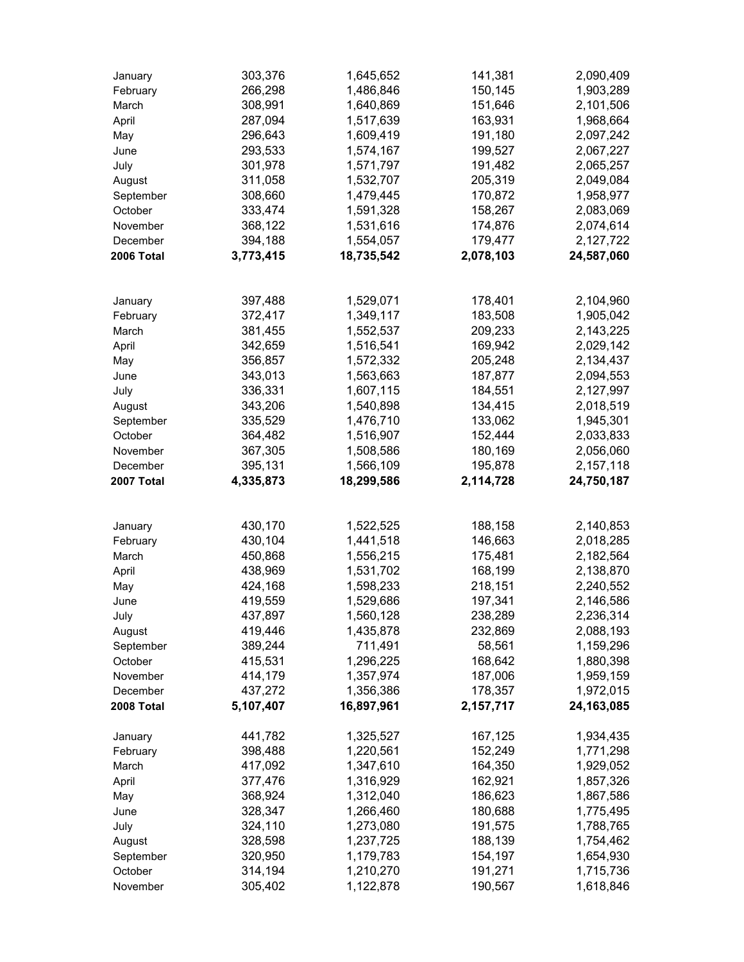| January    | 303,376   | 1,645,652  | 141,381   | 2,090,409    |
|------------|-----------|------------|-----------|--------------|
| February   | 266,298   | 1,486,846  | 150,145   | 1,903,289    |
| March      | 308,991   | 1,640,869  | 151,646   | 2,101,506    |
| April      | 287,094   | 1,517,639  | 163,931   | 1,968,664    |
| May        | 296,643   | 1,609,419  | 191,180   | 2,097,242    |
| June       | 293,533   | 1,574,167  | 199,527   | 2,067,227    |
| July       | 301,978   | 1,571,797  | 191,482   | 2,065,257    |
| August     | 311,058   | 1,532,707  | 205,319   | 2,049,084    |
| September  | 308,660   | 1,479,445  | 170,872   | 1,958,977    |
| October    | 333,474   | 1,591,328  | 158,267   | 2,083,069    |
| November   | 368,122   | 1,531,616  | 174,876   | 2,074,614    |
| December   | 394,188   | 1,554,057  | 179,477   | 2,127,722    |
| 2006 Total | 3,773,415 | 18,735,542 | 2,078,103 | 24,587,060   |
|            |           |            |           |              |
| January    | 397,488   | 1,529,071  | 178,401   | 2,104,960    |
| February   | 372,417   | 1,349,117  | 183,508   | 1,905,042    |
| March      | 381,455   | 1,552,537  | 209,233   | 2,143,225    |
| April      | 342,659   | 1,516,541  | 169,942   | 2,029,142    |
| May        | 356,857   | 1,572,332  | 205,248   | 2,134,437    |
| June       | 343,013   | 1,563,663  | 187,877   | 2,094,553    |
| July       | 336,331   | 1,607,115  | 184,551   | 2,127,997    |
| August     | 343,206   | 1,540,898  | 134,415   | 2,018,519    |
| September  | 335,529   | 1,476,710  | 133,062   | 1,945,301    |
| October    | 364,482   | 1,516,907  | 152,444   | 2,033,833    |
| November   | 367,305   | 1,508,586  | 180,169   | 2,056,060    |
| December   | 395,131   | 1,566,109  | 195,878   | 2,157,118    |
| 2007 Total | 4,335,873 | 18,299,586 | 2,114,728 | 24,750,187   |
|            |           |            |           |              |
| January    | 430,170   | 1,522,525  | 188,158   | 2,140,853    |
| February   | 430,104   | 1,441,518  | 146,663   | 2,018,285    |
| March      | 450,868   | 1,556,215  | 175,481   | 2,182,564    |
| April      | 438,969   | 1,531,702  | 168,199   | 2,138,870    |
| May        | 424,168   | 1,598,233  | 218,151   | 2,240,552    |
| June       | 419,559   | 1,529,686  | 197,341   | 2,146,586    |
| July       | 437,897   | 1,560,128  | 238,289   | 2,236,314    |
| August     | 419,446   | 1,435,878  | 232,869   | 2,088,193    |
| September  | 389,244   | 711,491    | 58,561    | 1,159,296    |
| October    | 415,531   | 1,296,225  | 168,642   | 1,880,398    |
| November   | 414,179   | 1,357,974  | 187,006   | 1,959,159    |
| December   | 437,272   | 1,356,386  | 178,357   | 1,972,015    |
| 2008 Total | 5,107,407 | 16,897,961 | 2,157,717 | 24, 163, 085 |
| January    | 441,782   | 1,325,527  | 167,125   | 1,934,435    |
| February   | 398,488   | 1,220,561  | 152,249   | 1,771,298    |
| March      | 417,092   | 1,347,610  | 164,350   | 1,929,052    |
| April      | 377,476   | 1,316,929  | 162,921   | 1,857,326    |
| May        | 368,924   | 1,312,040  | 186,623   | 1,867,586    |
| June       | 328,347   | 1,266,460  | 180,688   | 1,775,495    |
| July       | 324,110   | 1,273,080  | 191,575   | 1,788,765    |
| August     | 328,598   | 1,237,725  | 188,139   | 1,754,462    |
| September  | 320,950   | 1,179,783  | 154,197   | 1,654,930    |
| October    | 314,194   | 1,210,270  | 191,271   | 1,715,736    |
| November   | 305,402   | 1,122,878  | 190,567   | 1,618,846    |
|            |           |            |           |              |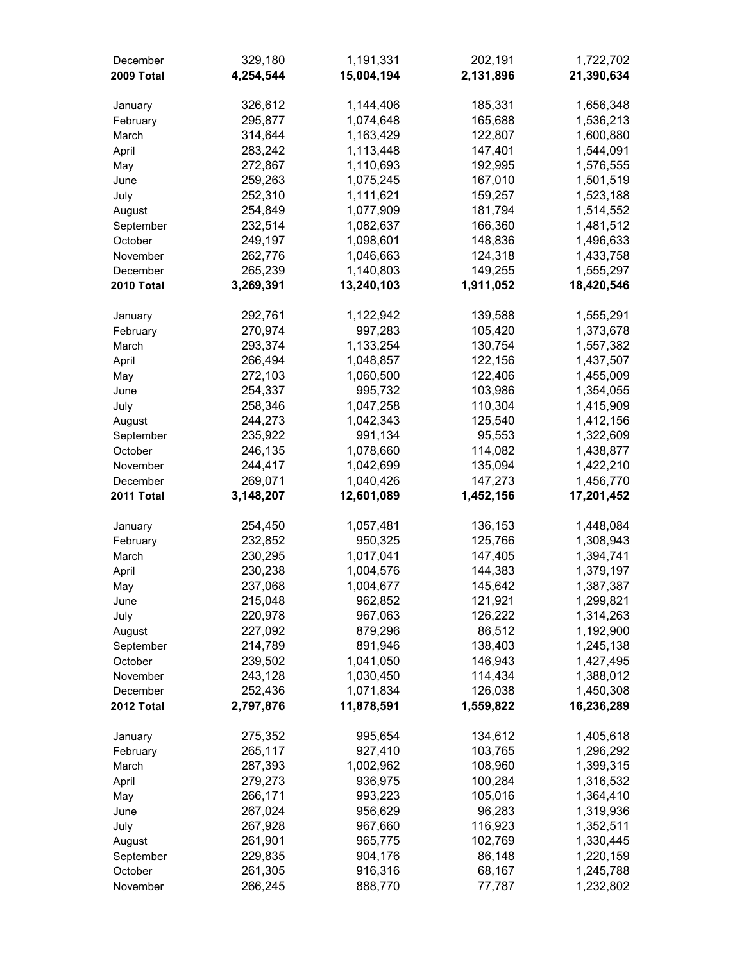| December<br>2009 Total | 329,180<br>4,254,544 | 1,191,331<br>15,004,194 | 202,191<br>2,131,896 | 1,722,702<br>21,390,634 |
|------------------------|----------------------|-------------------------|----------------------|-------------------------|
| January                | 326,612              | 1,144,406               | 185,331              | 1,656,348               |
| February               | 295,877              | 1,074,648               | 165,688              | 1,536,213               |
| March                  | 314,644              | 1,163,429               | 122,807              | 1,600,880               |
| April                  | 283,242              | 1,113,448               | 147,401              | 1,544,091               |
| May                    | 272,867              | 1,110,693               | 192,995              | 1,576,555               |
| June                   | 259,263              | 1,075,245               | 167,010              | 1,501,519               |
| July                   | 252,310              | 1,111,621               | 159,257              | 1,523,188               |
| August                 | 254,849              | 1,077,909               | 181,794              | 1,514,552               |
| September              | 232,514              | 1,082,637               | 166,360              | 1,481,512               |
| October                | 249,197              | 1,098,601               | 148,836              | 1,496,633               |
| November               | 262,776              | 1,046,663               | 124,318              | 1,433,758               |
| December               | 265,239              | 1,140,803               | 149,255              | 1,555,297               |
| 2010 Total             | 3,269,391            | 13,240,103              | 1,911,052            | 18,420,546              |
| January                | 292,761              | 1,122,942               | 139,588              | 1,555,291               |
| February               | 270,974              | 997,283                 | 105,420              | 1,373,678               |
| March                  | 293,374              | 1,133,254               | 130,754              | 1,557,382               |
| April                  | 266,494              | 1,048,857               | 122,156              | 1,437,507               |
| May                    | 272,103              | 1,060,500               | 122,406              | 1,455,009               |
| June                   | 254,337              | 995,732                 | 103,986              | 1,354,055               |
| July                   | 258,346              | 1,047,258               | 110,304              | 1,415,909               |
| August                 | 244,273              | 1,042,343               | 125,540              | 1,412,156               |
| September              | 235,922              | 991,134                 | 95,553               | 1,322,609               |
| October                | 246,135              | 1,078,660               | 114,082              | 1,438,877               |
| November               | 244,417              | 1,042,699               | 135,094              | 1,422,210               |
| December               | 269,071              | 1,040,426               | 147,273              | 1,456,770               |
| 2011 Total             | 3,148,207            | 12,601,089              | 1,452,156            | 17,201,452              |
| January                | 254,450              | 1,057,481               | 136,153              | 1,448,084               |
| February               | 232,852              | 950,325                 | 125,766              | 1,308,943               |
| March                  | 230,295              | 1,017,041               | 147,405              | 1,394,741               |
| April                  | 230,238              | 1,004,576               | 144,383              | 1,379,197               |
| May                    | 237,068              | 1,004,677               | 145,642              | 1,387,387               |
| June                   | 215,048              | 962,852                 | 121,921              | 1,299,821               |
| July                   | 220,978              | 967,063                 | 126,222              | 1,314,263               |
| August                 | 227,092              | 879,296                 | 86,512               | 1,192,900               |
| September              | 214,789              | 891,946                 | 138,403              | 1,245,138               |
| October                | 239,502              | 1,041,050               | 146,943              | 1,427,495               |
| November               | 243,128              | 1,030,450               | 114,434              | 1,388,012               |
| December<br>2012 Total | 252,436<br>2,797,876 | 1,071,834<br>11,878,591 | 126,038<br>1,559,822 | 1,450,308<br>16,236,289 |
| January                | 275,352              | 995,654                 | 134,612              | 1,405,618               |
| February               | 265,117              | 927,410                 | 103,765              | 1,296,292               |
| March                  | 287,393              | 1,002,962               | 108,960              | 1,399,315               |
| April                  | 279,273              | 936,975                 | 100,284              | 1,316,532               |
| May                    | 266,171              | 993,223                 | 105,016              | 1,364,410               |
| June                   | 267,024              | 956,629                 | 96,283               | 1,319,936               |
| July                   | 267,928              | 967,660                 | 116,923              | 1,352,511               |
| August                 | 261,901              | 965,775                 | 102,769              | 1,330,445               |
| September              | 229,835              | 904,176                 | 86,148               | 1,220,159               |
| October                | 261,305              | 916,316                 | 68,167               | 1,245,788               |
| November               | 266,245              | 888,770                 | 77,787               | 1,232,802               |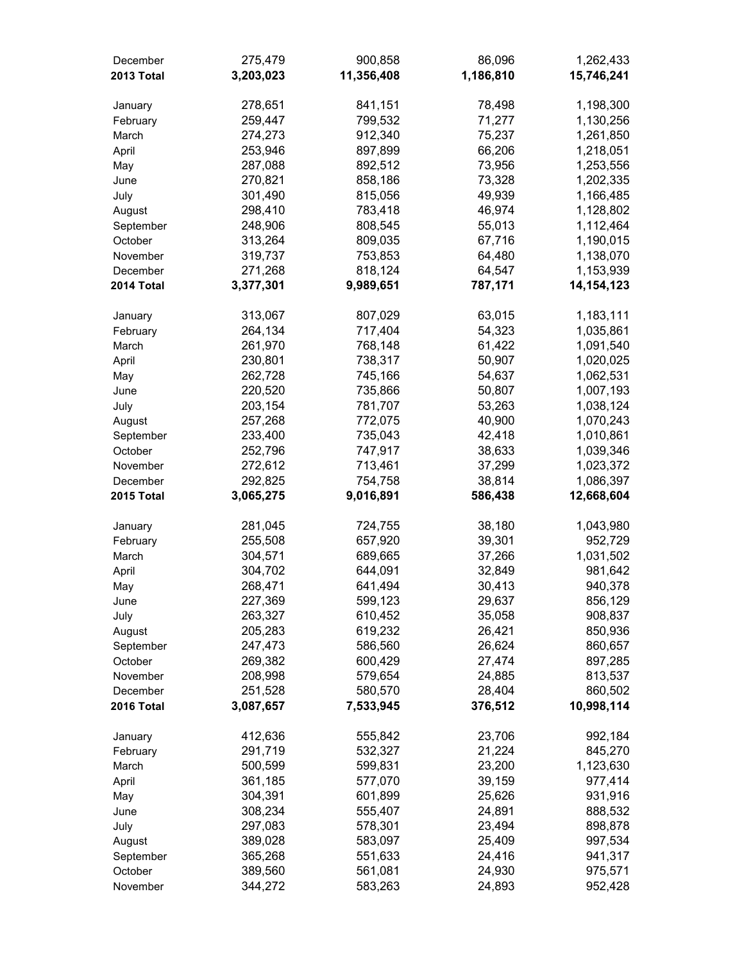| December   | 275,479   | 900,858    | 86,096    | 1,262,433    |
|------------|-----------|------------|-----------|--------------|
| 2013 Total | 3,203,023 | 11,356,408 | 1,186,810 | 15,746,241   |
| January    | 278,651   | 841,151    | 78,498    | 1,198,300    |
| February   | 259,447   | 799,532    | 71,277    | 1,130,256    |
| March      | 274,273   | 912,340    | 75,237    | 1,261,850    |
| April      | 253,946   | 897,899    | 66,206    | 1,218,051    |
| May        | 287,088   | 892,512    | 73,956    | 1,253,556    |
| June       | 270,821   | 858,186    | 73,328    | 1,202,335    |
| July       | 301,490   | 815,056    | 49,939    | 1,166,485    |
| August     | 298,410   | 783,418    | 46,974    | 1,128,802    |
| September  | 248,906   | 808,545    | 55,013    | 1,112,464    |
| October    | 313,264   | 809,035    | 67,716    | 1,190,015    |
| November   | 319,737   | 753,853    | 64,480    | 1,138,070    |
| December   | 271,268   | 818,124    | 64,547    | 1,153,939    |
| 2014 Total | 3,377,301 | 9,989,651  | 787,171   | 14, 154, 123 |
| January    | 313,067   | 807,029    | 63,015    | 1,183,111    |
| February   | 264,134   | 717,404    | 54,323    | 1,035,861    |
| March      | 261,970   | 768,148    | 61,422    | 1,091,540    |
| April      | 230,801   | 738,317    | 50,907    | 1,020,025    |
| May        | 262,728   | 745,166    | 54,637    | 1,062,531    |
| June       | 220,520   | 735,866    | 50,807    | 1,007,193    |
| July       | 203,154   | 781,707    | 53,263    | 1,038,124    |
| August     | 257,268   | 772,075    | 40,900    | 1,070,243    |
| September  | 233,400   | 735,043    | 42,418    | 1,010,861    |
| October    | 252,796   | 747,917    | 38,633    | 1,039,346    |
| November   | 272,612   | 713,461    | 37,299    | 1,023,372    |
| December   | 292,825   | 754,758    | 38,814    | 1,086,397    |
| 2015 Total | 3,065,275 | 9,016,891  | 586,438   | 12,668,604   |
| January    | 281,045   | 724,755    | 38,180    | 1,043,980    |
| February   | 255,508   | 657,920    | 39,301    | 952,729      |
| March      | 304,571   | 689,665    | 37,266    | 1,031,502    |
| April      | 304,702   | 644,091    | 32,849    | 981,642      |
| May        | 268,471   | 641,494    | 30,413    | 940,378      |
| June       | 227,369   | 599,123    | 29,637    | 856,129      |
| July       | 263,327   | 610,452    | 35,058    | 908,837      |
| August     | 205,283   | 619,232    | 26,421    | 850,936      |
| September  | 247,473   | 586,560    | 26,624    | 860,657      |
| October    | 269,382   | 600,429    | 27,474    | 897,285      |
| November   | 208,998   | 579,654    | 24,885    | 813,537      |
| December   | 251,528   | 580,570    | 28,404    | 860,502      |
| 2016 Total | 3,087,657 | 7,533,945  | 376,512   | 10,998,114   |
| January    | 412,636   | 555,842    | 23,706    | 992,184      |
| February   | 291,719   | 532,327    | 21,224    | 845,270      |
| March      | 500,599   | 599,831    | 23,200    | 1,123,630    |
| April      | 361,185   | 577,070    | 39,159    | 977,414      |
| May        | 304,391   | 601,899    | 25,626    | 931,916      |
| June       | 308,234   | 555,407    | 24,891    | 888,532      |
| July       | 297,083   | 578,301    | 23,494    | 898,878      |
| August     | 389,028   | 583,097    | 25,409    | 997,534      |
| September  | 365,268   | 551,633    | 24,416    | 941,317      |
| October    | 389,560   | 561,081    | 24,930    | 975,571      |
| November   | 344,272   | 583,263    | 24,893    | 952,428      |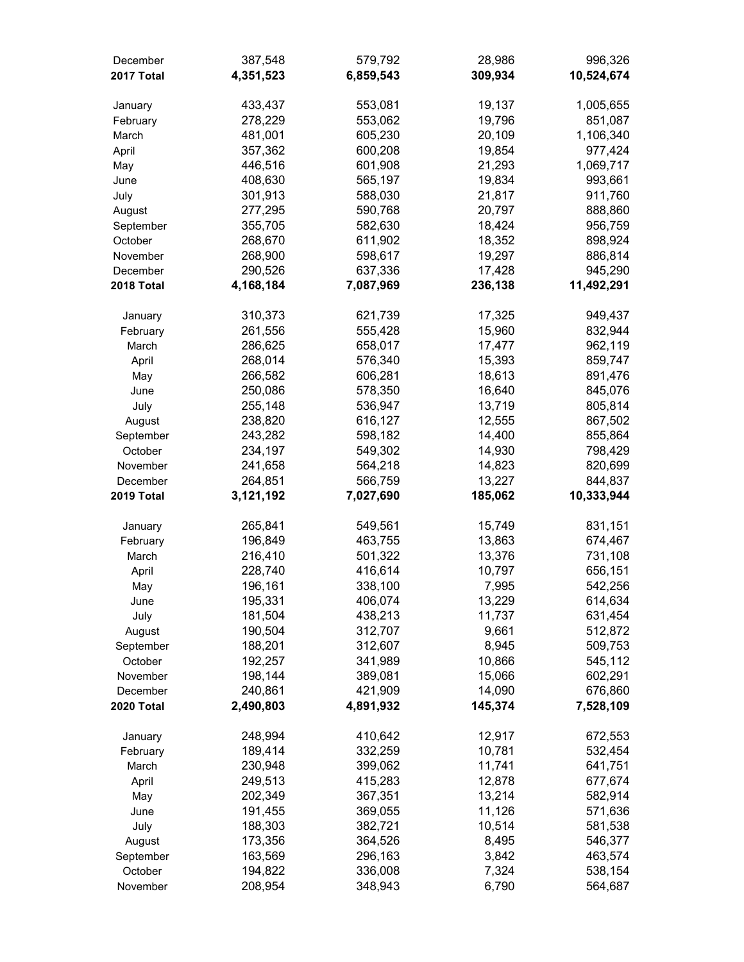| December<br>2017 Total | 387,548<br>4,351,523 | 579,792<br>6,859,543 | 28,986<br>309,934 | 996,326<br>10,524,674 |
|------------------------|----------------------|----------------------|-------------------|-----------------------|
|                        |                      |                      |                   |                       |
| January                | 433,437              | 553,081              | 19,137            | 1,005,655             |
| February               | 278,229              | 553,062              | 19,796            | 851,087               |
| March                  | 481,001              | 605,230              | 20,109            | 1,106,340             |
| April                  | 357,362              | 600,208              | 19,854            | 977,424               |
| May                    | 446,516              | 601,908              | 21,293            | 1,069,717             |
| June                   | 408,630              | 565,197              | 19,834            | 993,661               |
| July                   | 301,913              | 588,030              | 21,817            | 911,760               |
| August                 | 277,295              | 590,768              | 20,797            | 888,860               |
| September              | 355,705              | 582,630              | 18,424            | 956,759               |
| October                | 268,670              | 611,902              | 18,352            | 898,924               |
| November               | 268,900              | 598,617              | 19,297            | 886,814               |
| December<br>2018 Total | 290,526<br>4,168,184 | 637,336<br>7,087,969 | 17,428<br>236,138 | 945,290<br>11,492,291 |
|                        |                      |                      |                   |                       |
| January                | 310,373              | 621,739              | 17,325            | 949,437               |
| February               | 261,556              | 555,428              | 15,960            | 832,944               |
| March                  | 286,625              | 658,017              | 17,477            | 962,119               |
| April                  | 268,014              | 576,340              | 15,393            | 859,747               |
| May                    | 266,582              | 606,281              | 18,613            | 891,476               |
| June                   | 250,086              | 578,350              | 16,640            | 845,076               |
| July                   | 255,148              | 536,947              | 13,719            | 805,814               |
| August                 | 238,820              | 616,127              | 12,555            | 867,502               |
| September              | 243,282              | 598,182              | 14,400            | 855,864               |
| October                | 234,197              | 549,302              | 14,930            | 798,429               |
| November               | 241,658              | 564,218              | 14,823            | 820,699               |
| December               | 264,851              | 566,759              | 13,227            | 844,837               |
| 2019 Total             | 3,121,192            | 7,027,690            | 185,062           | 10,333,944            |
| January                | 265,841              | 549,561              | 15,749            | 831,151               |
| February               | 196,849              | 463,755              | 13,863            | 674,467               |
| March                  | 216,410              | 501,322              | 13,376            | 731,108               |
| April                  | 228,740              | 416,614              | 10,797            | 656,151               |
| May                    | 196,161              | 338,100              | 7,995             | 542,256               |
| June                   | 195,331              | 406,074              | 13,229            | 614,634               |
| July                   | 181,504              | 438,213              | 11,737            | 631,454               |
| August                 | 190,504              | 312,707              | 9,661             | 512,872               |
| September              | 188,201              | 312,607              | 8,945             | 509,753               |
| October                | 192,257              | 341,989              | 10,866            | 545,112               |
| November               | 198,144              | 389,081              | 15,066            | 602,291               |
| December               | 240,861              | 421,909              | 14,090            | 676,860               |
| 2020 Total             | 2,490,803            | 4,891,932            | 145,374           | 7,528,109             |
| January                | 248,994              | 410,642              | 12,917            | 672,553               |
| February               | 189,414              | 332,259              | 10,781            | 532,454               |
| March                  | 230,948              | 399,062              | 11,741            | 641,751               |
| April                  | 249,513              | 415,283              | 12,878            | 677,674               |
| May                    | 202,349              | 367,351              | 13,214            | 582,914               |
| June                   | 191,455              | 369,055              | 11,126            | 571,636               |
| July                   | 188,303              | 382,721              | 10,514            | 581,538               |
| August                 | 173,356              | 364,526              | 8,495             | 546,377               |
| September              | 163,569              | 296,163              | 3,842             | 463,574               |
| October                | 194,822              | 336,008              | 7,324             | 538,154               |
| November               | 208,954              | 348,943              | 6,790             | 564,687               |